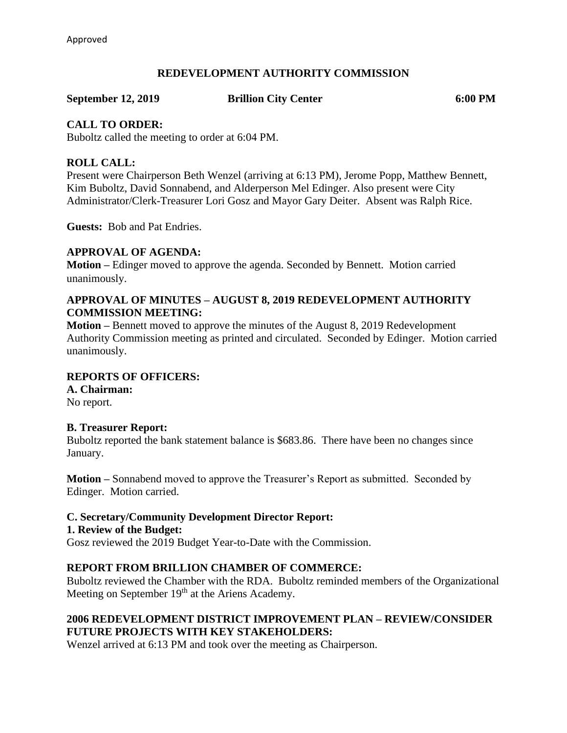## **REDEVELOPMENT AUTHORITY COMMISSION**

**September 12, 2019 Brillion City Center 6:00 PM**

## **CALL TO ORDER:**

Buboltz called the meeting to order at 6:04 PM.

## **ROLL CALL:**

Present were Chairperson Beth Wenzel (arriving at 6:13 PM), Jerome Popp, Matthew Bennett, Kim Buboltz, David Sonnabend, and Alderperson Mel Edinger. Also present were City Administrator/Clerk-Treasurer Lori Gosz and Mayor Gary Deiter. Absent was Ralph Rice.

**Guests:** Bob and Pat Endries.

## **APPROVAL OF AGENDA:**

**Motion –** Edinger moved to approve the agenda. Seconded by Bennett. Motion carried unanimously.

## **APPROVAL OF MINUTES – AUGUST 8, 2019 REDEVELOPMENT AUTHORITY COMMISSION MEETING:**

**Motion –** Bennett moved to approve the minutes of the August 8, 2019 Redevelopment Authority Commission meeting as printed and circulated. Seconded by Edinger. Motion carried unanimously.

## **REPORTS OF OFFICERS:**

**A. Chairman:** No report.

#### **B. Treasurer Report:**

Buboltz reported the bank statement balance is \$683.86. There have been no changes since January.

**Motion –** Sonnabend moved to approve the Treasurer's Report as submitted. Seconded by Edinger. Motion carried.

## **C. Secretary/Community Development Director Report:**

#### **1. Review of the Budget:**

Gosz reviewed the 2019 Budget Year-to-Date with the Commission.

## **REPORT FROM BRILLION CHAMBER OF COMMERCE:**

Buboltz reviewed the Chamber with the RDA. Buboltz reminded members of the Organizational Meeting on September 19<sup>th</sup> at the Ariens Academy.

# **2006 REDEVELOPMENT DISTRICT IMPROVEMENT PLAN – REVIEW/CONSIDER FUTURE PROJECTS WITH KEY STAKEHOLDERS:**

Wenzel arrived at 6:13 PM and took over the meeting as Chairperson.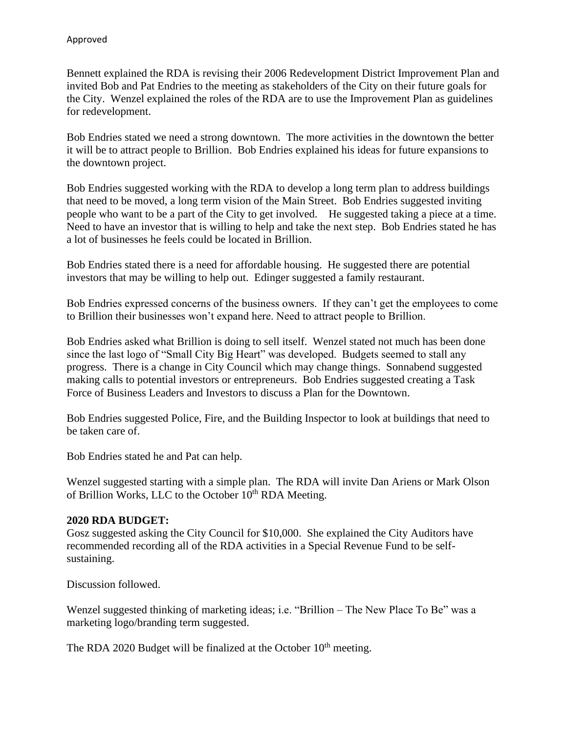Bennett explained the RDA is revising their 2006 Redevelopment District Improvement Plan and invited Bob and Pat Endries to the meeting as stakeholders of the City on their future goals for the City. Wenzel explained the roles of the RDA are to use the Improvement Plan as guidelines for redevelopment.

Bob Endries stated we need a strong downtown. The more activities in the downtown the better it will be to attract people to Brillion. Bob Endries explained his ideas for future expansions to the downtown project.

Bob Endries suggested working with the RDA to develop a long term plan to address buildings that need to be moved, a long term vision of the Main Street. Bob Endries suggested inviting people who want to be a part of the City to get involved. He suggested taking a piece at a time. Need to have an investor that is willing to help and take the next step. Bob Endries stated he has a lot of businesses he feels could be located in Brillion.

Bob Endries stated there is a need for affordable housing. He suggested there are potential investors that may be willing to help out. Edinger suggested a family restaurant.

Bob Endries expressed concerns of the business owners. If they can't get the employees to come to Brillion their businesses won't expand here. Need to attract people to Brillion.

Bob Endries asked what Brillion is doing to sell itself. Wenzel stated not much has been done since the last logo of "Small City Big Heart" was developed. Budgets seemed to stall any progress. There is a change in City Council which may change things. Sonnabend suggested making calls to potential investors or entrepreneurs. Bob Endries suggested creating a Task Force of Business Leaders and Investors to discuss a Plan for the Downtown.

Bob Endries suggested Police, Fire, and the Building Inspector to look at buildings that need to be taken care of.

Bob Endries stated he and Pat can help.

Wenzel suggested starting with a simple plan. The RDA will invite Dan Ariens or Mark Olson of Brillion Works, LLC to the October 10<sup>th</sup> RDA Meeting.

#### **2020 RDA BUDGET:**

Gosz suggested asking the City Council for \$10,000. She explained the City Auditors have recommended recording all of the RDA activities in a Special Revenue Fund to be selfsustaining.

Discussion followed.

Wenzel suggested thinking of marketing ideas; i.e. "Brillion – The New Place To Be" was a marketing logo/branding term suggested.

The RDA 2020 Budget will be finalized at the October  $10<sup>th</sup>$  meeting.